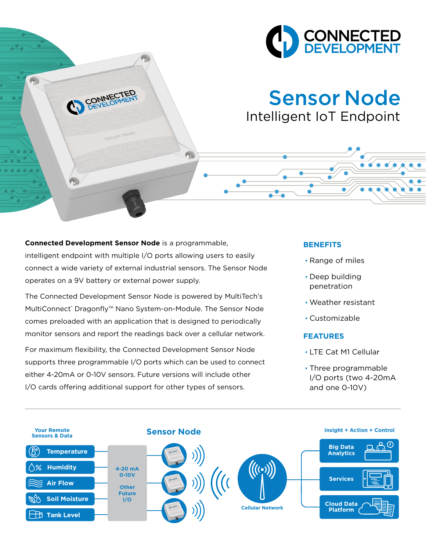

# Sensor Node Intelligent IoT Endpoint

## **Connected Development Sensor Node** is a programmable, intelligent endpoint with multiple I/O ports allowing users to easily connect a wide variety of external industrial sensors. The Sensor Node operates on a 9V battery or external power supply.

 $\widehat{\gamma_{\delta}}$ 

CONNECT

 $(2)$ 

Sensor Node

The Connected Development Sensor Node is powered by MultiTech's MultiConnect® Dragonfly™ Nano System-on-Module. The Sensor Node comes preloaded with an application that is designed to periodically monitor sensors and report the readings back over a cellular network.

For maximum flexibility, the Connected Development Sensor Node supports three programmable I/O ports which can be used to connect either 4-20mA or 0-10V sensors. Future versions will include other I/O cards offering additional support for other types of sensors.

### **BENEFITS**

· Range of miles

 $\bullet$   $\bullet$ 

- · Deep building penetration
- · Weather resistant
- · Customizable

#### **FEATURES**

- · LTE Cat M1 Cellular
- · Three programmable I/O ports (two 4-20mA and one 0-10V)